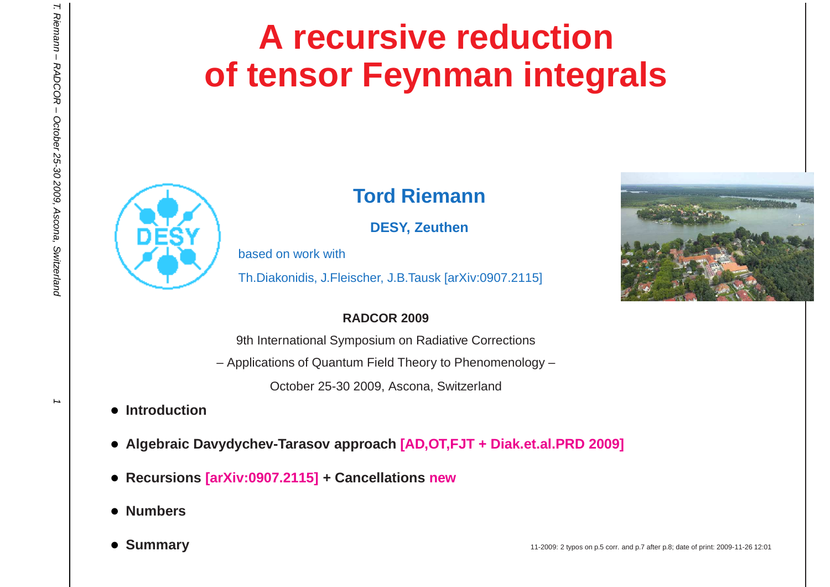# **A recursive reductionof tensor Feynman integrals**



### **Tord Riemann**

**DESY, Zeuthen**

based on work with

Th.Diakonidis, J.Fleischer, J.B.Tausk [arXiv:0907.2115]

#### **RADCOR 2009**

9th International Symposium on Radiative Corrections

– Applications of Quantum Field Theory to Phenomenology –

October 25-30 2009, Ascona, Switzerland

- **Introduction**
- **Algebraic Davydychev-Tarasov approach [AD,OT,FJT <sup>+</sup> Diak.et.al.PRD 2009]**
- **Recursions [arXiv:0907.2115] <sup>+</sup> Cancellations new**
- **Numbers**
- Summary



 $\mathbf{H}$ 

Riemann - RADCOR - October 25-30 2009, Ascona, Switzerland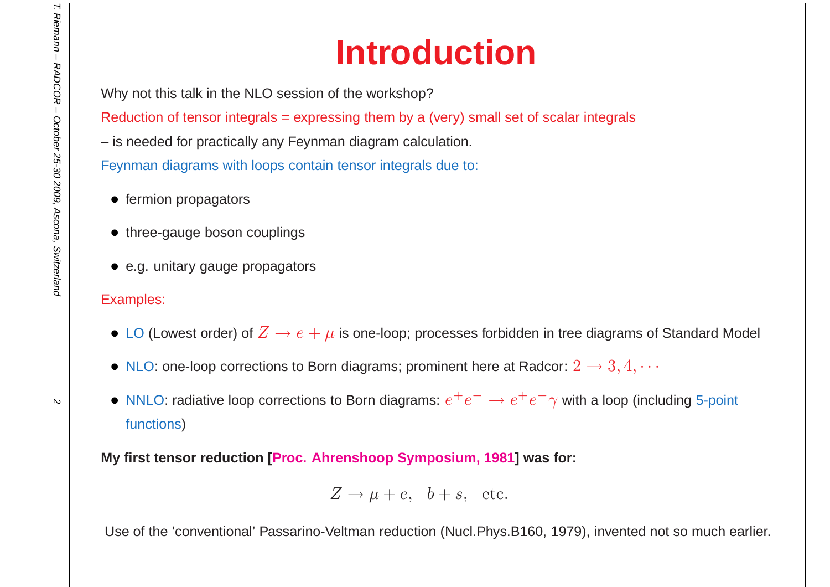# **Introduction**

Why not this talk in the NLO session of the workshop?

Reduction of tensor integrals <sup>=</sup> expressing them by <sup>a</sup> (very) small set of scalar integrals

– is needed for practically any Feynman diagram calculation.

Feynman diagrams with loops contain tensor integrals due to:

- fermion propagators
- three-gauge boson couplings
- e.g. unitary gauge propagators

#### Examples:

- $\bullet$  LO (Lowest order) of  $Z\to e+\mu$  is one-loop; processes forbidden in tree diagrams of Standard Model
- $\bullet\,$  NLO: one-loop corrections to Born diagrams; prominent here at Radcor:  $2\rightarrow 3,4,\cdots$
- NNLO: radiative loop corrections to Born diagrams:  $e^+e^-\rightarrow e^+e^-\gamma$  with a loop (including 5-point functions)

**My first tensor reduction [Proc. Ahrenshoop Symposium, 1981] was for:**

$$
Z \to \mu + e, \quad b + s, \quad \text{etc.}
$$

Use of the 'conventional' Passarino-Veltman reduction (Nucl.Phys.B160, 1979), invented not so much earlier.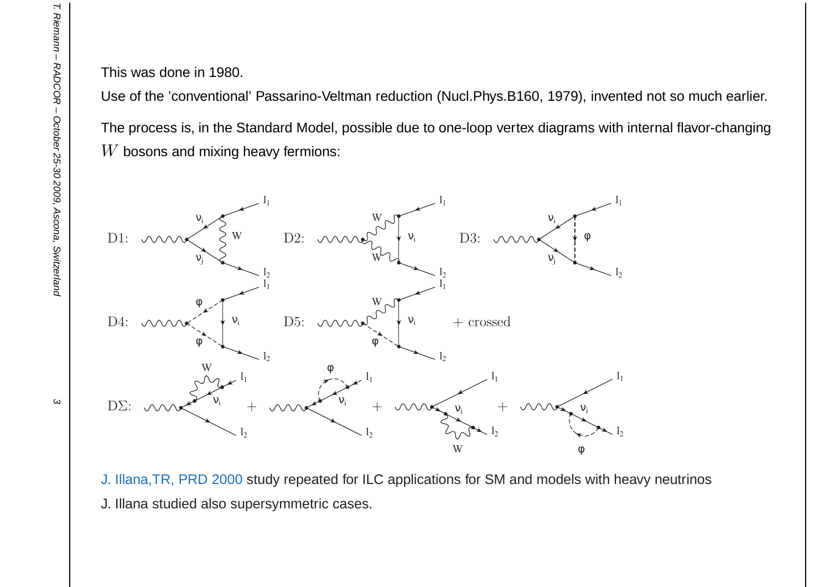This was done in 1980.

Use of the 'conventional' Passarino-Veltman reduction (Nucl.Phys.B160, 1979), invented not so much earlier. The process is, in the Standard Model, possible due to one-loop vertex diagrams with internal flavor-changing $W$  bosons and mixing heavy fermions:



J. Illana,TR, PRD 2000 study repeated for ILC applications for SM and models with heavy neutrinos J. Illana studied also supersymmetric cases.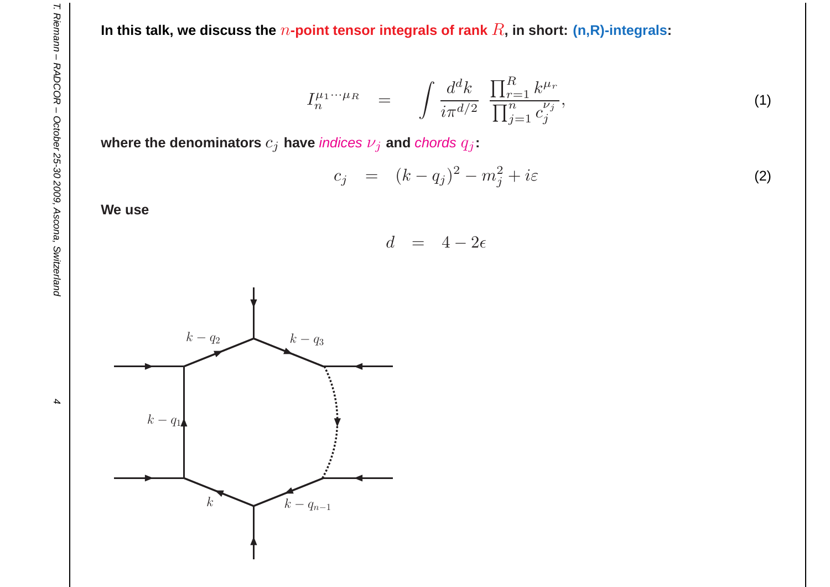In this talk, we discuss the  $n$ -point tensor integrals of rank  $R$ , in short: (n,R)-integrals:

$$
I_n^{\mu_1\cdots\mu_R} = \int \frac{d^dk}{i\pi^{d/2}} \; \frac{\prod_{r=1}^R k^{\mu_r}}{\prod_{j=1}^n c_j^{\nu_j}},\tag{1}
$$

where the denominators  $c_j$  have *indices*  $\nu_j$  *and chords*  $q_j$ :

$$
c_j = (k - q_j)^2 - m_j^2 + i\varepsilon \tag{2}
$$

**We use**

$$
d = 4 - 2\epsilon
$$



 $\boldsymbol{4}$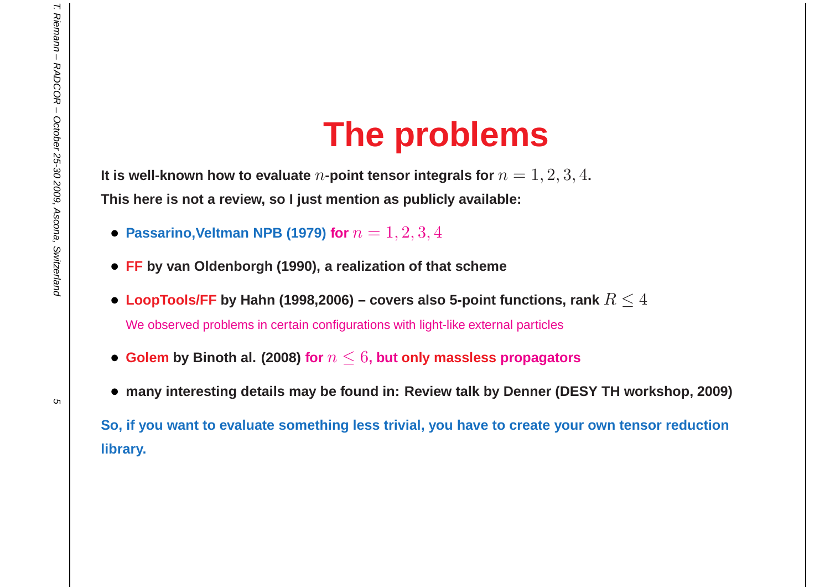## **The problems**

It is well-known how to evaluate  $n$ -point tensor integrals for  $n=1,2,3,4$ . This here is not a review, so I just mention as publicly available:

- **Passarino,Veltman NPB (1979) for**  $n = 1, 2, 3, 4$
- **FF by van Oldenborgh (1990), <sup>a</sup> realization of that scheme**
- $\bullet$  LoopTools/FF by Hahn (1998,2006) covers also 5-point functions, rank  $R\leq4$ We observed problems in certain configurations with light-like external particles
- $\bullet$  Golem by Binoth al. (2008) for  $n \leq 6$ , but only massless propagators
- $\bullet\,$  many interesting details may be found in: Review talk by Denner (DESY TH workshop, 2009)

So, if you want to evaluate something less trivial, you have to create your own tensor reduction **library.**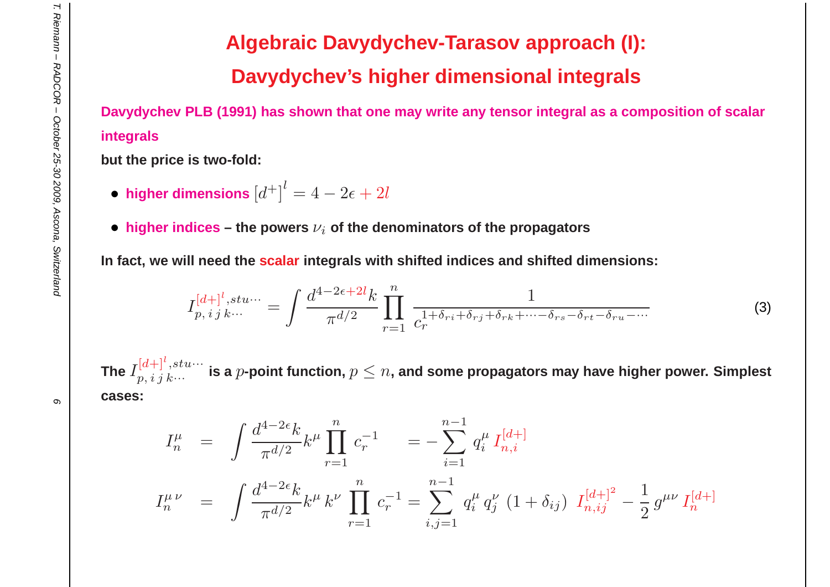## **Algebraic Davydychev-Tarasov approach (I):Davydychev's higher dimensional integrals**

Davydychev PLB (1991) has shown that one may write any tensor integral as a composition of scalar **integrals**

**but the price is two-fold:**

- higher dimensions  $\left[d^+\right]^l = 4 2\epsilon + 2l$
- $\bullet$  **higher** <code>indices the powers  $\nu_i$  of the denominators of the propagators</code>

In fact, we will need the <mark>scalar</mark> integrals with shifted indices and shifted dimensions:

$$
I_{p,\,i\,j\,k\cdots}^{[d+]^l,\,stu\cdots} = \int \frac{d^{4-2\epsilon+2l}k}{\pi^{d/2}} \prod_{r=1}^n \frac{1}{c_r^{1+\delta_{ri}+\delta_{rj}+\delta_{rk}+\cdots-\delta_{rs}-\delta_{rt}-\delta_{ru}-\cdots}}
$$
(3)

The  $I^{[d+]}$  $\left[ \frac{[d+]}{p,~i~j~k...} \right]$  is a  $p$ -point function,  $p \leq n$ , and some propagators may have higher power. Simplest **cases:**

$$
I_n^{\mu} = \int \frac{d^{4-2\epsilon}k}{\pi^{d/2}} k^{\mu} \prod_{r=1}^n c_r^{-1} = -\sum_{i=1}^{n-1} q_i^{\mu} I_{n,i}^{[d+]} I_n^{\mu\nu} = \int \frac{d^{4-2\epsilon}k}{\pi^{d/2}} k^{\mu} k^{\nu} \prod_{r=1}^n c_r^{-1} = \sum_{i,j=1}^{n-1} q_i^{\mu} q_j^{\nu} (1 + \delta_{ij}) I_{n,ij}^{[d+]} - \frac{1}{2} g^{\mu\nu} I_n^{[d+]}
$$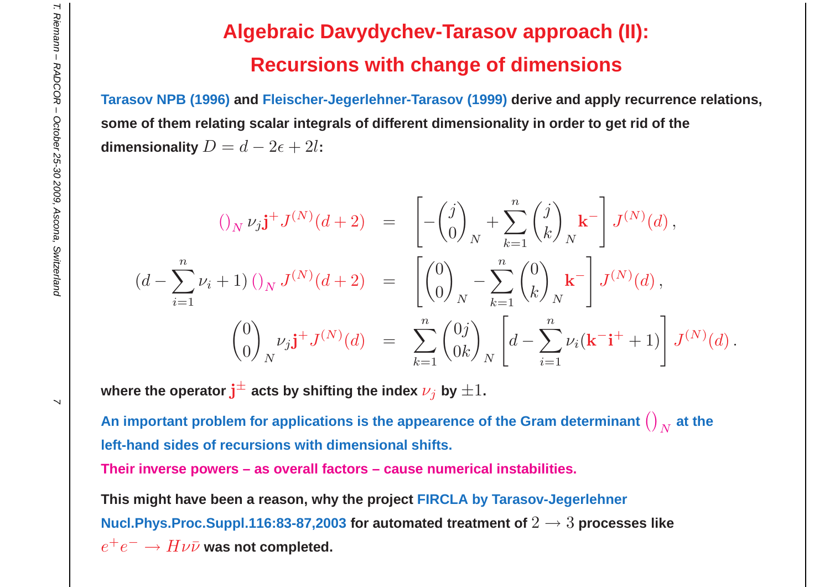## **Algebraic Davydychev-Tarasov approach (II):Recursions with change of dimensions**

**Tarasov NPB (1996) and Fleischer-Jegerlehner-Tarasov (1999) derive and apply recurrence relations,** some of them relating scalar integrals of different dimensionality in order to get rid of the **dimensionality**  $D=d-2\epsilon + 2l$ :

$$
(\int_{N} \nu_{j} \mathbf{j}^{+} J^{(N)}(d+2) = \begin{bmatrix} -\binom{j}{0}_{N} + \sum_{k=1}^{n} \binom{j}{k}_{N} \mathbf{k}^{-} \mathbf{j} J^{(N)}(d), \\ (d - \sum_{i=1}^{n} \nu_{i} + 1) \left( \int_{N} J^{(N)}(d+2) \right) = \left[ \binom{0}{0}_{N} - \sum_{k=1}^{n} \binom{0}{k}_{N} \mathbf{k}^{-} \right] J^{(N)}(d), \\ (d - \sum_{i=1}^{n} \nu_{i} + 1) J^{(N)}(d) = \sum_{k=1}^{n} \binom{0}{k}_{N} \left[ d - \sum_{i=1}^{n} \nu_{i} (\mathbf{k}^{-} \mathbf{i}^{+} + 1) \right] J^{(N)}(d).
$$

**where** the operator  $\textbf{j}^{\pm}$  acts by shifting the index  $\nu_j$  by  $\pm 1$ .

An important problem for applications is the appearence of the Gram determinant  $\left(\right)_N$  $\frac{1}{N}$  at the **left-hand sides of recursions with dimensional shifts.**

**Their inverse powers – as overall factors – cause numerical instabilities.**

This might have been a reason, why the project FIRCLA by Tarasov-Jegerlehner <code>Nucl.Phys.Proc.Suppl.116:83-87,2003 for automated treatment of  $2\to 3$  processes like</code>  $e^+e^-\to H\nu\bar{\nu}$  was not completed.

 $\overline{\phantom{0}}$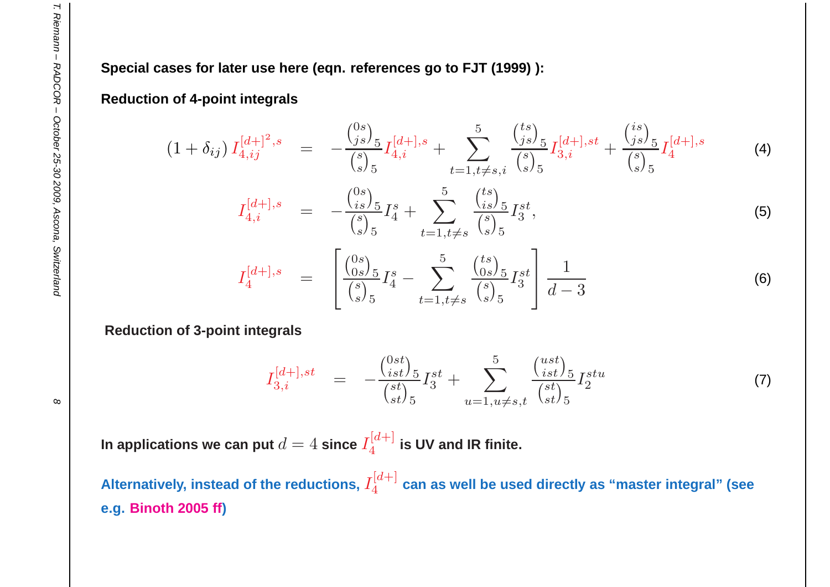Special cases for later use here (eqn. references go to FJT (1999)):

#### **Reduction of 4-point integrals**

$$
(1+\delta_{ij}) I_{4,ij}^{[d+]^2,s} = -\frac{\binom{0s}{js}_{5}}{\binom{s}{s}_{5}} I_{4,i}^{[d+],s} + \sum_{t=1,t\neq s,i}^{5} \frac{\binom{ts}{js}_{5}}{\binom{s}{s}_{5}} I_{3,i}^{[d+],st} + \frac{\binom{is}{js}_{5}}{\binom{s}{s}_{5}} I_{4}^{[d+],s}
$$
(4)

$$
I_{4,i}^{[d+],s} = -\frac{\binom{0s}{is}\binom{s}{5}}{\binom{s}{s}\binom{s}{5}} I_4^s + \sum_{t=1,t\neq s}^{5} \frac{\binom{ts}{is}\binom{s}{5}}{\binom{s}{s}\binom{s}{5}} I_3^{st},\tag{5}
$$

$$
I_4^{[d+],s} = \begin{bmatrix} {0s \choose 0s} \frac{5}{5} I_4^s - \sum_{t=1, t \neq s}^{5} {t s \choose 0s} \frac{5}{5} I_3^{st} \\ {s \choose s} \frac{1}{5} & d-3 \end{bmatrix}
$$
(6)

**Reduction of 3-point integrals**

$$
I_{3,i}^{[d+],st} = -\frac{\binom{0st}{ist}}{\binom{st}{st}} I_3^{st} + \sum_{u=1, u \neq s,t}^{5} \frac{\binom{ust}{ist}}{\binom{st}{st}} I_2^{stu}
$$
(7)

In applications we can put  $d=4$  since  $I_4^{[d+]}$  is UV and IR finite.

Alternatively, instead of the reductions,  $I_4^{[d+]}$  can as well be used directly as "master integral" (see **e.g. Binoth 2005 ff)**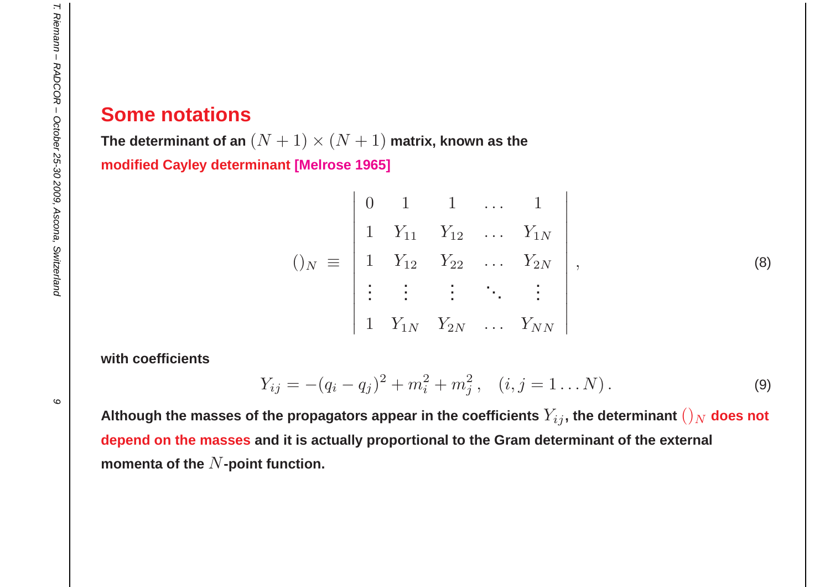#### **Some notations**

 $\bf{The~determinant~of~an}~(N+1)\times(N+1)$  matrix, known as the **modified Cayley determinant [Melrose 1965]**

$$
()_{N} \equiv \begin{vmatrix} 0 & 1 & 1 & \dots & 1 \\ 1 & Y_{11} & Y_{12} & \dots & Y_{1N} \\ 1 & Y_{12} & Y_{22} & \dots & Y_{2N} \\ \vdots & \vdots & \vdots & \ddots & \vdots \\ 1 & Y_{1N} & Y_{2N} & \dots & Y_{NN} \end{vmatrix},
$$
 (8)

**with coefficients**

$$
Y_{ij} = -(q_i - q_j)^2 + m_i^2 + m_j^2, \quad (i, j = 1...N).
$$
 (9)

Although the masses of the propagators appear in the coefficients  $Y_{ij}$ , the determinant  $()_N$  does not depend on the masses and it is actually proportional to the Gram determinant of the external  $\bm{\mathsf{momenta}}$  of the  $N$ -point function.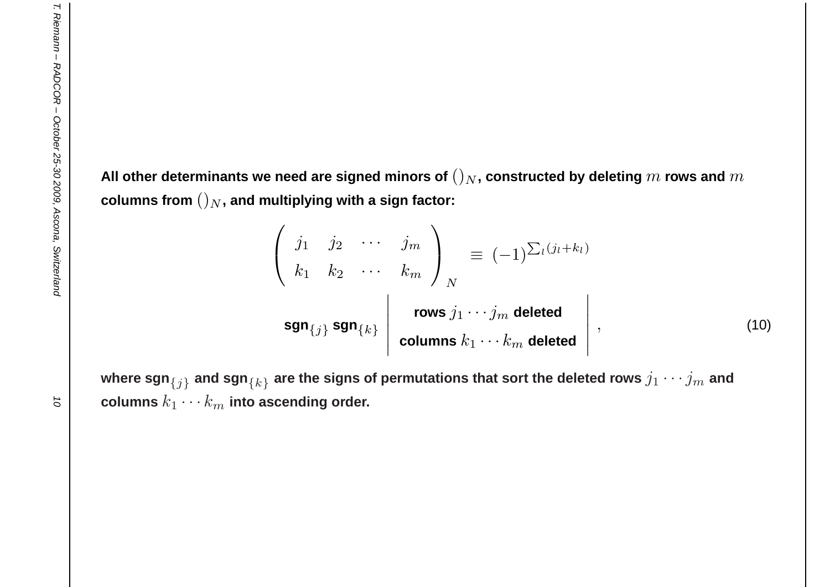All other determinants we need are signed minors of  $()_N$ , constructed by deleting  $m$  rows and  $m$  ${\bf c}$ olumns from  $()_N,$  and multiplying with a sign factor:

$$
\begin{pmatrix}\nj_1 & j_2 & \cdots & j_m \\
k_1 & k_2 & \cdots & k_m\n\end{pmatrix}_N \equiv (-1)^{\sum_l (j_l + k_l)}
$$
\n
$$
\text{sgn}_{\{j\}} \text{sgn}_{\{k\}} \begin{vmatrix}\n\text{rows } j_1 \cdots j_m \text{ deleted} \\
\text{columns } k_1 \cdots k_m \text{ deleted}\n\end{vmatrix},
$$
\n(10)

where  $\mathsf{sgn}_{\{j\}}$  and  $\mathsf{sgn}_{\{k\}}$  are the signs of permutations that sort the deleted rows  $j_1\cdots j_m$  and  ${\bf c}$ olumns  $k_1 \cdots k_m$  into ascending order.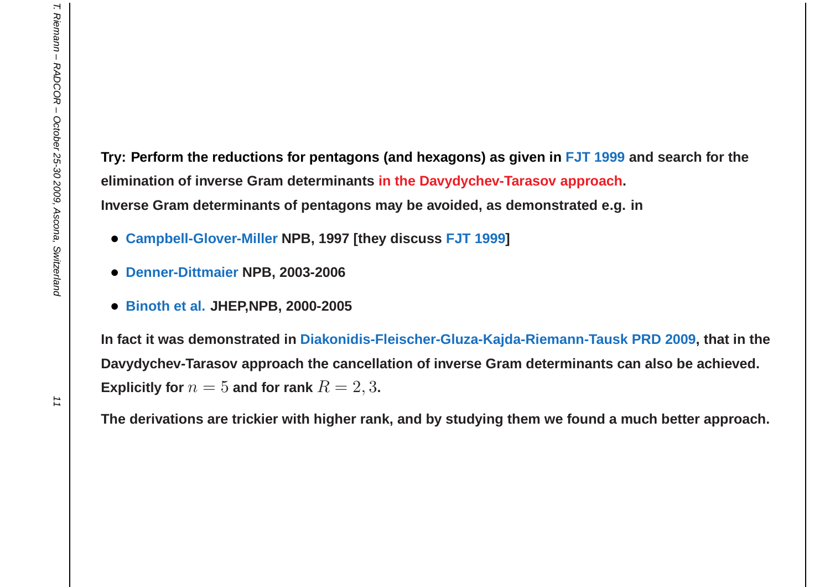Try: Perform the reductions for pentagons (and hexagons) as given in <mark>FJT 1999</mark> and search for the **elimination of inverse Gram determinants in the Davydychev-Tarasov approach.** Inverse Gram determinants of pentagons may be avoided, as demonstrated e.g. in

- **Campbell-Glover-Miller NPB, <sup>1997</sup> [they discuss FJT 1999]**
- **Denner-Dittmaier NPB, 2003-2006**
- **Binoth et al. JHEP,NPB, 2000-2005**

In fact it was demonstrated in Diakonidis-Fleischer-Gluza-Kajda-Riemann-Tausk PRD 2009, that in the Davydychev-Tarasov approach the cancellation of inverse Gram determinants can also be achieved.  $\bf{Explicitly}$  for  $n = 5$  and for rank  $R = 2, 3$ **.** 

The derivations are trickier with higher rank, and by studying them we found a much better approach.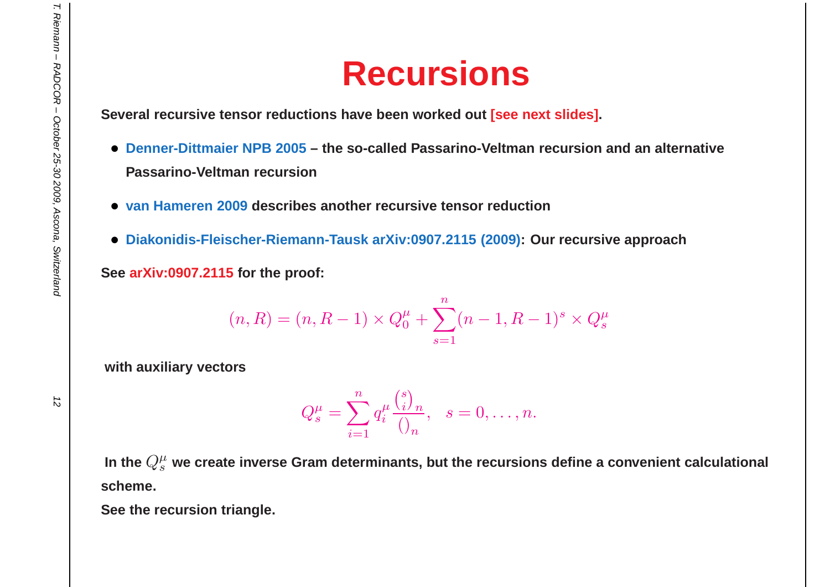## **Recursions**

**Several recursive tensor reductions have been worked out [see next slides].**

- Denner-Dittmaier NPB 2005 the so-called Passarino-Veltman recursion and an alternative **Passarino-Veltman recursion**
- **van Hameren <sup>2009</sup> describes another recursive tensor reduction**
- **Diakonidis-Fleischer-Riemann-Tausk arXiv:0907.2115 (2009): Our recursive approach**

**See arXiv:0907.2115 for the proof:**

$$
(n, R) = (n, R - 1) \times Q_0^{\mu} + \sum_{s=1}^{n} (n - 1, R - 1)^s \times Q_s^{\mu}
$$

**with auxiliary vectors**

$$
Q_s^{\mu} = \sum_{i=1}^n q_i^{\mu} \frac{\binom{s}{i}_n}{\binom{s}{n}}, \quad s = 0, \dots, n.
$$

In the  $Q^{\mu}_{s}$  we create inverse Gram determinants, but the recursions define a convenient calculational **scheme.**

**See the recursion triangle.**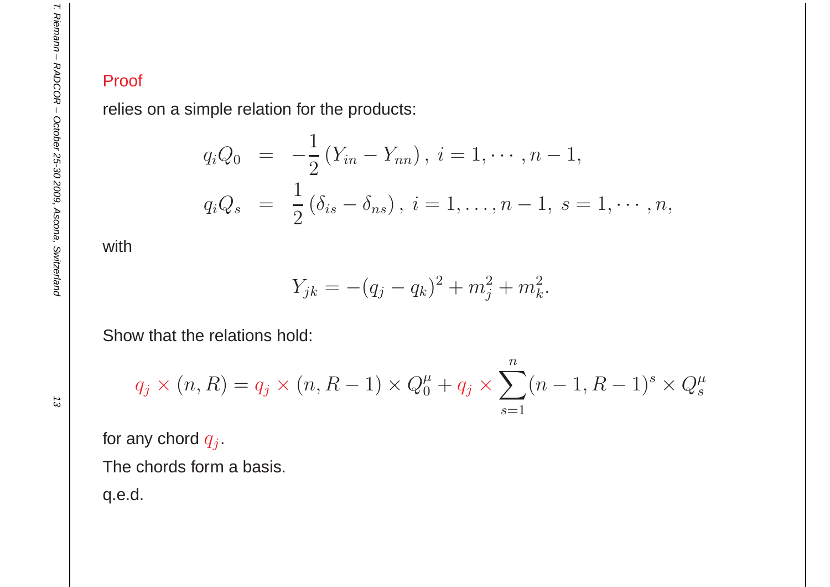#### Proof

relies on <sup>a</sup> simple relation for the products:

$$
q_i Q_0 = -\frac{1}{2} (Y_{in} - Y_{nn}), \ i = 1, \cdots, n-1,
$$
  

$$
q_i Q_s = \frac{1}{2} (\delta_{is} - \delta_{ns}), \ i = 1, \ldots, n-1, \ s = 1, \cdots, n,
$$

with

$$
Y_{jk} = -(q_j - q_k)^2 + m_j^2 + m_k^2.
$$

Show that the relations hold:

$$
q_j \times (n, R) = q_j \times (n, R - 1) \times Q_0^{\mu} + q_j \times \sum_{s=1}^n (n - 1, R - 1)^s \times Q_s^{\mu}
$$

for any chord  $q_j.$ 

The chords form <sup>a</sup> basis.

q.e.d.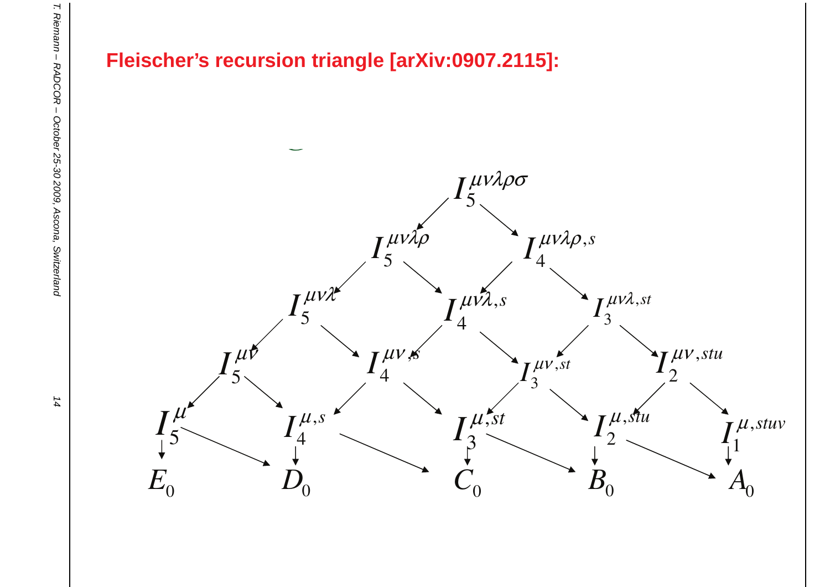



14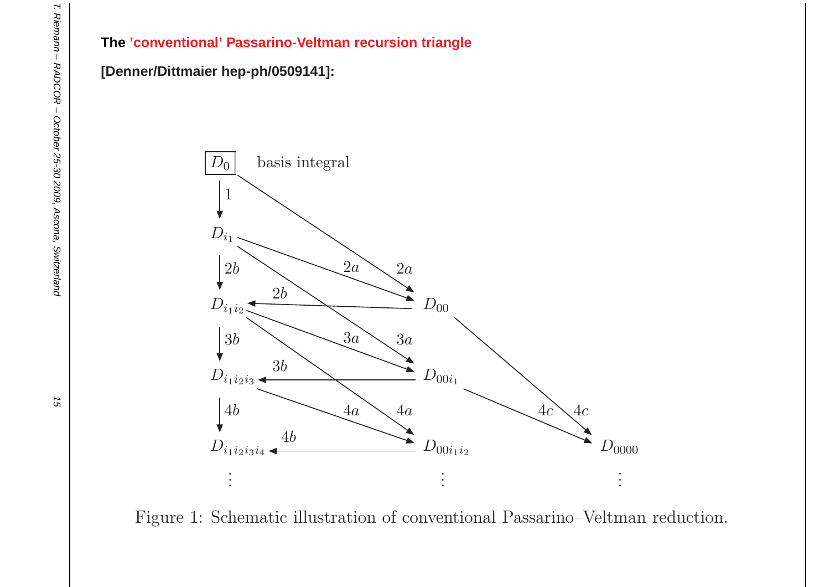#### **The 'conventional' Passarino-Veltman recursion triangle**

#### **[Denner/Dittmaier hep-ph/0509141]:**



Figure 1: Schematic illustration of conventional Passarino–Veltman reduction.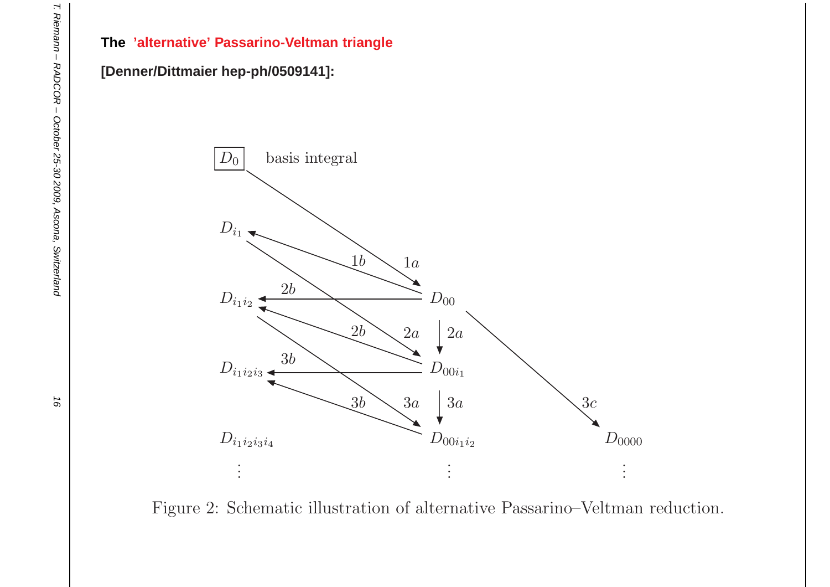#### **The 'alternative' Passarino-Veltman triangle**

#### **[Denner/Dittmaier hep-ph/0509141]:**



Figure 2: Schematic illustration of alternative Passarino–Veltman reduction.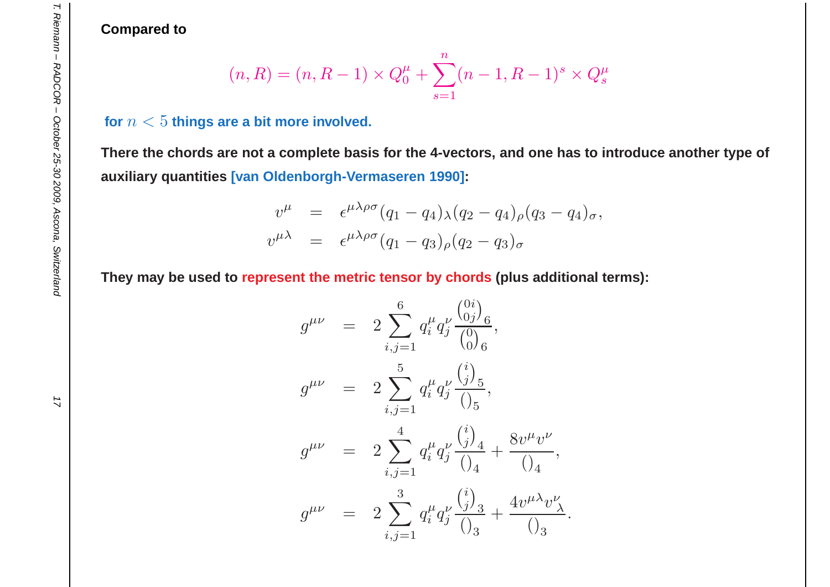**Compared to**

$$
(n, R) = (n, R - 1) \times Q_0^{\mu} + \sum_{s=1}^{n} (n - 1, R - 1)^s \times Q_s^{\mu}
$$

#### for  $n < 5$  things are a bit more involved.

There the chords are not a complete basis for the 4-vectors, and one has to introduce another type of **auxiliary quantities [van Oldenborgh-Vermaseren 1990]:**

$$
v^{\mu} = \epsilon^{\mu\lambda\rho\sigma}(q_1 - q_4)_{\lambda}(q_2 - q_4)_{\rho}(q_3 - q_4)_{\sigma},
$$
  

$$
v^{\mu\lambda} = \epsilon^{\mu\lambda\rho\sigma}(q_1 - q_3)_{\rho}(q_2 - q_3)_{\sigma}
$$

They may be used to <mark>represent the metric tensor by chords (</mark>plus additional terms):

$$
g^{\mu\nu} = 2 \sum_{i,j=1}^{6} q_i^{\mu} q_j^{\nu} \frac{\binom{0i}{0j}_6}{\binom{0}{0}} ,
$$
  
\n
$$
g^{\mu\nu} = 2 \sum_{i,j=1}^{5} q_i^{\mu} q_j^{\nu} \frac{\binom{i}{j}_5}{\binom{0}{5}} ,
$$
  
\n
$$
g^{\mu\nu} = 2 \sum_{i,j=1}^{4} q_i^{\mu} q_j^{\nu} \frac{\binom{i}{j}_4}{\binom{0}{4}} + \frac{8v^{\mu} v^{\nu}}{\binom{0}{4}} ,
$$
  
\n
$$
g^{\mu\nu} = 2 \sum_{i,j=1}^{3} q_i^{\mu} q_j^{\nu} \frac{\binom{i}{j}_3}{\binom{0}{3}} + \frac{4v^{\mu \lambda} v_{\lambda}^{\nu}}{\binom{0}{3}} .
$$

,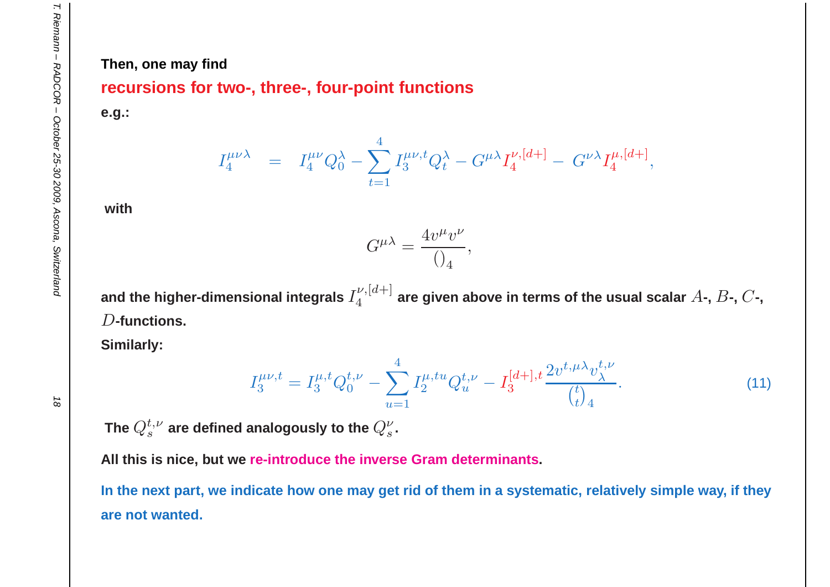#### **Then, one may find**

#### **recursions for two-, three-, four-point functions**

**e.g.:**

 $I_4^{\mu\nu\lambda}$ = $I_4^{\mu\nu}$  $\pmb Q$ λ $\overline{0}$  $-\sum_{1}^{4}$  $t{=}1$  $I^{\mu\nu,t}_3$  $\pmb Q$ λ $t$ <sup>-</sup>  $G^{\mu\lambda}I_4^{\nu,[d+]}$  $G^{\nu\lambda}I_4^{\mu,[d+]}$ ,

**with**

$$
G^{\mu\lambda}=\frac{4v^\mu v^\nu}{()_4}
$$

and the higher-dimensional integrals  $I_4^{\nu,[d+]}$  are given above in terms of the usual scalar  $A$ -,  $B$ -,  $C$ -, D**-functions.**

,

**Similarly:**

$$
I_3^{\mu\nu,t} = I_3^{\mu,t} Q_0^{t,\nu} - \sum_{u=1}^4 I_2^{\mu,tu} Q_u^{t,\nu} - I_3^{[d+]}{}^{,t} \frac{2v^{t,\mu\lambda} v_\lambda^{t,\nu}}{\binom{t}{t}_4}.
$$
 (11)

The  $Q^{t,\nu}_s$  are defined analogously to the  $Q^{\nu}_s$ .

**All this is nice, but we re-introduce the inverse Gram determinants.**

In the next part, we indicate how one may get rid of them in a systematic, relatively simple way, if they **are not wanted.**

 $\vec{a}$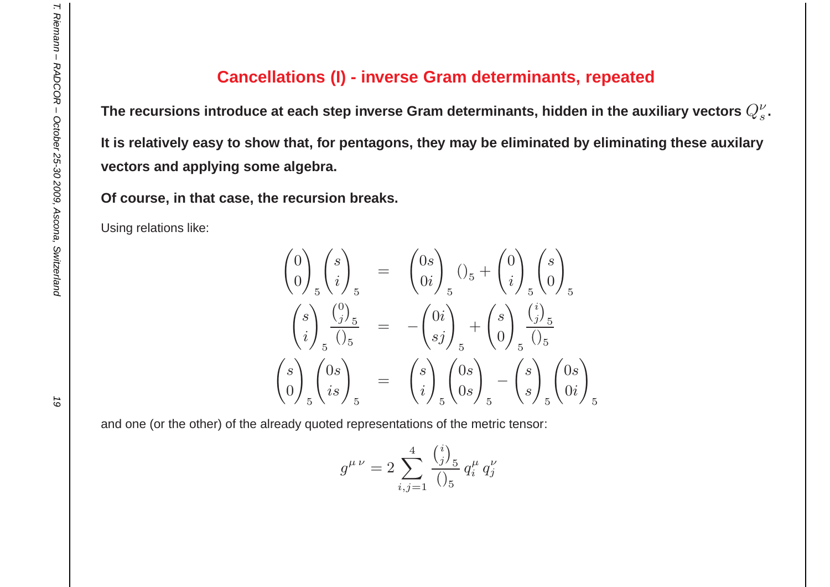#### **Cancellations (I) - inverse Gram determinants, repeated**

The recursions introduce at each step inverse Gram determinants, hidden in the auxiliary vectors  $Q_s^\nu$ . It is relatively easy to show that, for pentagons, they may be eliminated by eliminating these auxilary **vectors and applying some algebra.**

**Of course, in that case, the recursion breaks.**

Using relations like:

$$
\begin{pmatrix}\n0 \\
0\n\end{pmatrix}\n\begin{pmatrix}\ns \\
i\n\end{pmatrix}\n_{5} = \n\begin{pmatrix}\n0s \\
0i\n\end{pmatrix}\n_{5}\n\begin{pmatrix}\n0_{5} + \binom{0}{i}_{5}\binom{s}{0} \\
0\n\end{pmatrix}\n_{5}\n\n\begin{pmatrix}\ns \\
i\n\end{pmatrix}\n\begin{pmatrix}\n0_{5} \\
0_{5}\n\end{pmatrix}\n_{5} = -\binom{0i}{sj}\n_{5} + \binom{s}{0}\n\begin{pmatrix}\n0_{5} \\
0_{5}\n\end{pmatrix}\n_{5}\n\n\begin{pmatrix}\ns \\
0\n\end{pmatrix}\n_{5}\n\begin{pmatrix}\n0s \\
is\n\end{pmatrix}\n_{5} = \n\begin{pmatrix}\ns \\
i\n\end{pmatrix}\n_{5}\n\begin{pmatrix}\n0s \\
0s\n\end{pmatrix}\n_{5} - \binom{s}{s}\n_{5}\n\begin{pmatrix}\n0s \\
0i\n\end{pmatrix}\n_{5}
$$

and one (or the other) of the already quoted representations of the metric tensor:

$$
g^{\mu \nu} = 2 \sum_{i,j=1}^{4} \frac{{i \choose j}_5}{0_5} q_i^{\mu} q_j^{\nu}
$$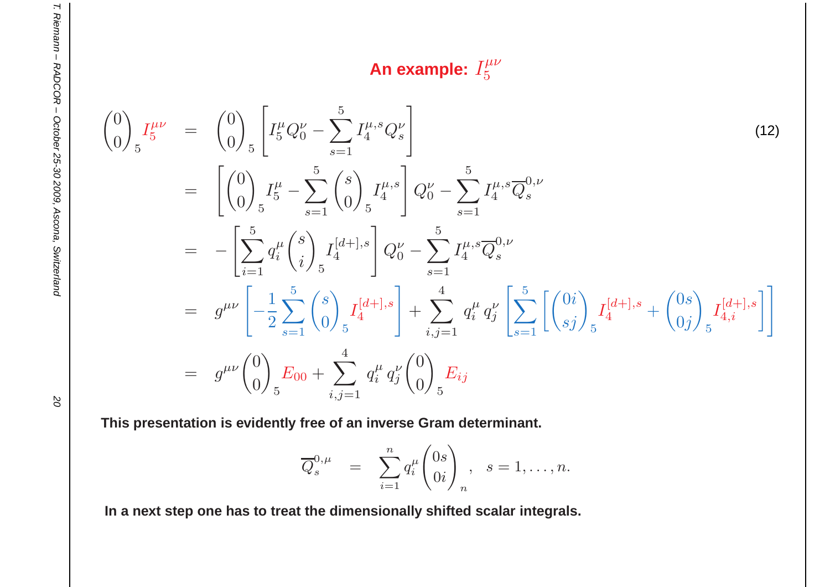**An example:**  $I^{\mu\nu}_5$ 

$$
\begin{split}\n\binom{0}{0} \, I_5^{\mu\nu} &= \, \binom{0}{0} \, \left[ I_5^{\mu} Q_0^{\nu} - \sum_{s=1}^5 I_4^{\mu,s} Q_s^{\nu} \right] \\
&= \, \left[ \binom{0}{0} \, I_5^{\mu} - \sum_{s=1}^5 \binom{s}{0} \, I_4^{\mu,s} \right] Q_0^{\nu} - \sum_{s=1}^5 I_4^{\mu,s} \overline{Q}_s^{0,\nu} \\
&= \, - \left[ \sum_{i=1}^5 q_i^{\mu} \binom{s}{i} \, I_4^{[d+],s} \right] Q_0^{\nu} - \sum_{s=1}^5 I_4^{\mu,s} \overline{Q}_s^{0,\nu} \\
&= \, g^{\mu\nu} \left[ -\frac{1}{2} \sum_{s=1}^5 \binom{s}{0} \, I_4^{[d+],s} \right] + \sum_{i,j=1}^4 q_i^{\mu} q_j^{\nu} \left[ \sum_{s=1}^5 \left[ \binom{0i}{sj} \, I_4^{[d+],s} + \binom{0s}{0j} \, I_{4,i}^{[d+],s} \right] \right] \\
&= \, g^{\mu\nu} \binom{0}{0} \, E_{00} + \sum_{i,j=1}^4 q_i^{\mu} q_j^{\nu} \binom{0}{0} \, E_{ij}\n\end{split}
$$
\n(12)

**This presentation is evidently free of an inverse Gram determinant.**

$$
\overline{Q}_s^{0,\mu} = \sum_{i=1}^n q_i^{\mu} \begin{pmatrix} 0s \\ 0i \end{pmatrix}_n, \quad s = 1, \dots, n.
$$

In a next step one has to treat the dimensionally shifted scalar integrals.

 $\overline{O}$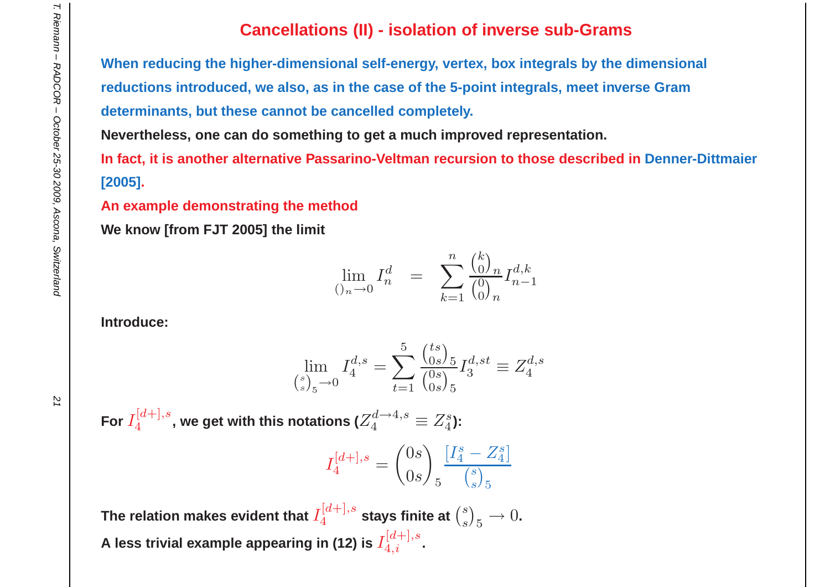### **Cancellations (II) - isolation of inverse sub-Grams**

When reducing the higher-dimensional self-energy, vertex, box integrals by the dimensional reductions introduced, we also, as in the case of the 5-point integrals, meet inverse Gram **determinants, but these cannot be cancelled completely.**

**Nevertheless, one can do something to get <sup>a</sup> much improved representation.**

In fact, it is another alternative Passarino-Veltman recursion to those described in Denner-Dittmaier **[2005].**

**An example demonstrating the method**

**We know [from FJT 2005] the limit**

$$
\lim_{\left(\right)^{n}\to 0} I_n^d = \sum_{k=1}^n \frac{\binom{k}{0}_n}{\binom{0}{0}_n} I_{n-1}^{d,k}
$$

**Introduce:**

$$
\lim_{\binom{s}{s}_{5}\to 0} I_{4}^{d,s} = \sum_{t=1}^{5} \frac{\binom{ts}{0s}_{5}}{\binom{0s}{0s}_{5}} I_{3}^{d,st} \equiv Z_{4}^{d,s}
$$

For  $I_4^{[d+],s}$  , we get with this notations ( $Z_4^d$  $a_4^{d \rightarrow 4,s} \equiv Z_4^s$ ):

$$
I_4^{[d+],s} = \binom{0s}{0s}_5 \frac{[I_4^s - Z_4^s]}{\binom{s}{s}_5}
$$

The relation makes evident that  $I_4^{[d+],s}$  stays finite at  $\binom{s}{s}_5 \rightarrow 0.$ **A** less trivial example appearing in (12) is  $I_{4,i}^{[d+],s}.$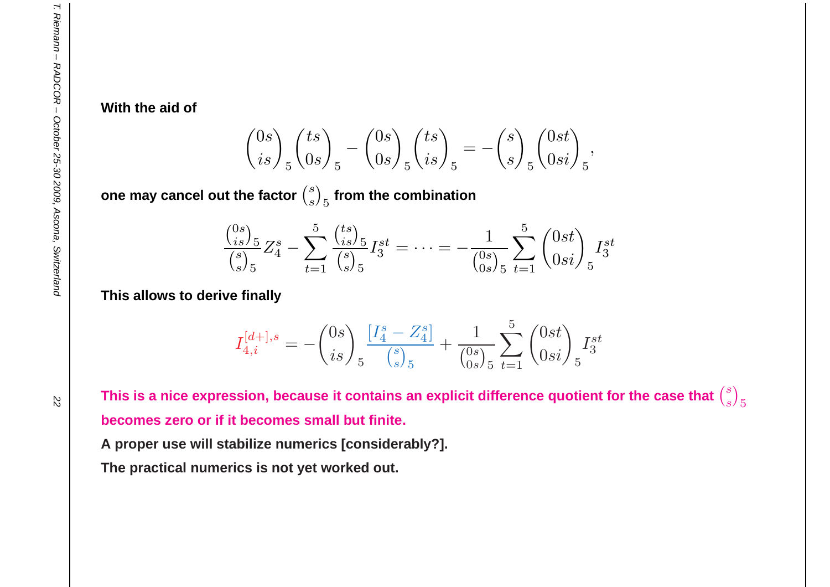**With the aid of**

$$
\binom{0s}{is}_{5}\binom{ts}{0s}_{5} - \binom{0s}{0s}_{5}\binom{ts}{is}_{5} = -\binom{s}{s}_{5}\binom{0st}{0si}_{5},
$$

 $\mathbf{C}$  **one** may cancel out the factor  $\binom{s}{s}_5$  from the combination

$$
\frac{\binom{0s}{is}}{\binom{s}{s}_5} Z_4^s - \sum_{t=1}^5 \frac{\binom{ts}{is}_5}{\binom{s}{s}_5} I_3^{st} = \dots = -\frac{1}{\binom{0s}{0s}_5} \sum_{t=1}^5 \binom{0st}{0si}_5 I_3^{st}
$$

**This allows to derive finally**

$$
I_{4,i}^{[d+],s} = -{0s \choose is}_5 \frac{[I_4^s - Z_4^s]}{{s \choose s}_5} + \frac{1}{{0s \choose 0s}_5} \sum_{t=1}^5 {0st \choose 0si}_5 I_3^{st}
$$

This is a nice expression, because it contains an explicit difference quotient for the case that  ${s\choose s}_5$ **becomes zero or if it becomes small but finite.**

**A proper use will stabilize numerics [considerably?].**

**The practical numerics is not yet worked out.**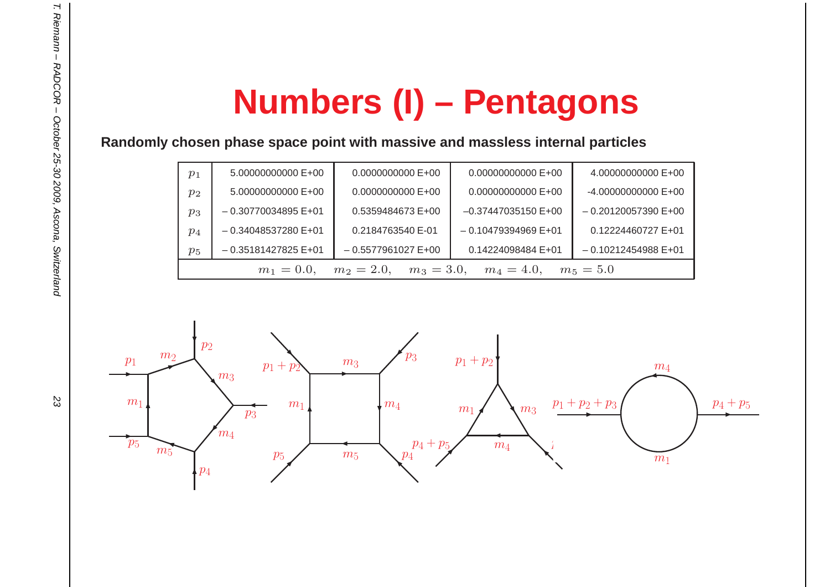# **Numbers (I) – Pentagons**

**Randomly chosen phase space point with massive and massless internal particles**

| $p_{1}$ |                                                                              | 5.00000000000 E+00    | 0.0000000000 E+00   | 0.00000000000 E+00      | 4.00000000000 E+00    |  |  |
|---------|------------------------------------------------------------------------------|-----------------------|---------------------|-------------------------|-----------------------|--|--|
| $p_2$   |                                                                              | 5.00000000000 E+00    | $0.0000000000E+00$  | 0.00000000000 E+00      | $-4.000000000000E+00$ |  |  |
| $p_3$   |                                                                              | $-0.30770034895 E+01$ | 0.5359484673 E+00   | $-0.37447035150 E+00$   | $-0.20120057390 E+00$ |  |  |
| $p_4$   |                                                                              | $-0.34048537280$ E+01 | 0.2184763540 E-01   | $-0.10479394969 E + 01$ | 0.12224460727 E+01    |  |  |
| $p_5$   |                                                                              | $-0.35181427825 E+01$ | $-0.5577961027E+00$ | 0.14224098484 E+01      | $-0.10212454988E+01$  |  |  |
|         | $m_3 = 3.0, \quad m_4 = 4.0,$<br>$m_2 = 2.0$<br>$m_5 = 5.0$<br>$m_1 = 0.0$ , |                       |                     |                         |                       |  |  |



T. Riemann - RADCOR - October 25-30 2009, Ascona, Switzerland T. Riemann – RADCOR – October 25-30 2009, Ascona, Switzerland 23

23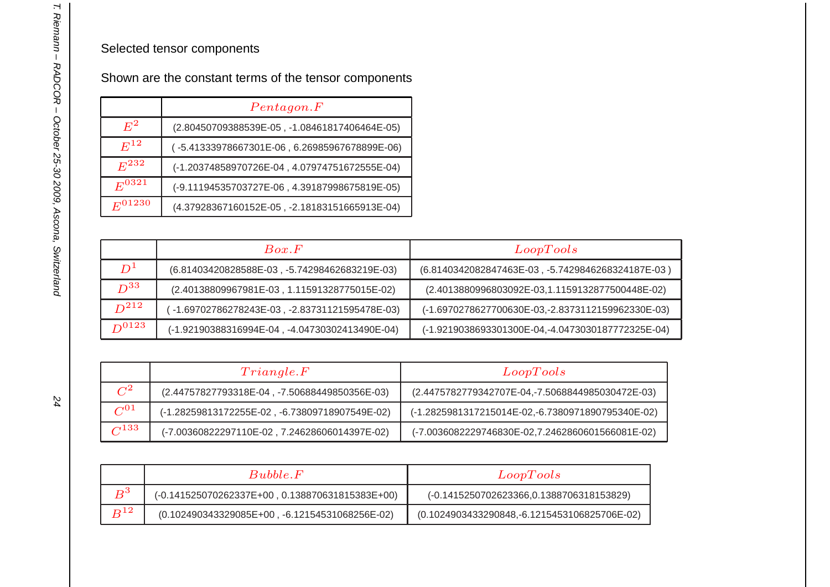#### Selected tensor components

Shown are the constant terms of the tensor components

|             | Pentagon.F                                    |  |  |
|-------------|-----------------------------------------------|--|--|
| $E^2$       | (2.80450709388539E-05, -1.08461817406464E-05) |  |  |
| $E^{12}$    | (-5.41333978667301E-06, 6.26985967678899E-06) |  |  |
| $E^{232}$   | (-1.20374858970726E-04, 4.07974751672555E-04) |  |  |
| $E^{0321}$  | (-9.11194535703727E-06, 4.39187998675819E-05) |  |  |
| $E^{01230}$ | (4.37928367160152E-05, -2.18183151665913E-04) |  |  |

|            | Box. F                                         | Loop Tools                                        |
|------------|------------------------------------------------|---------------------------------------------------|
| $D^1$      | (6.81403420828588E-03, -5.74298462683219E-03)  | (6.8140342082847463E-03, -5.7429846268324187E-03) |
| $D^{33}$   | (2.40138809967981E-03, 1.11591328775015E-02)   | (2.4013880996803092E-03,1.1159132877500448E-02)   |
| $D^{212}$  | -1.69702786278243E-03, -2.83731121595478E-03)  | (-1.6970278627700630E-03,-2.8373112159962330E-03) |
| $D^{0123}$ | (-1.92190388316994E-04, -4.04730302413490E-04) | (-1.9219038693301300E-04,-4.0473030187772325E-04) |

|              | Triangle.F                                     | Loop Tools                                        |  |
|--------------|------------------------------------------------|---------------------------------------------------|--|
| $C^2$        | (2.44757827793318E-04, -7.50688449850356E-03)  | (2.4475782779342707E-04,-7.5068844985030472E-03)  |  |
| $C^{01}$     | (-1.28259813172255E-02, -6.73809718907549E-02) | (-1.2825981317215014E-02,-6.7380971890795340E-02) |  |
| $\sqrt{133}$ | (-7.00360822297110E-02, 7.24628606014397E-02)  | (-7.0036082229746830E-02,7.2462860601566081E-02)  |  |

|          | Bubble.F                                         | Loop Tools                                    |
|----------|--------------------------------------------------|-----------------------------------------------|
| $R^3$    | (-0.141525070262337E+00, 0.138870631815383E+00)  | (-0.1415250702623366,0.1388706318153829)      |
| $B^{12}$ | $(0.102490343329085E+00, -6.12154531068256E-02)$ | (0.1024903433290848, -6.1215453106825706E-02) |

24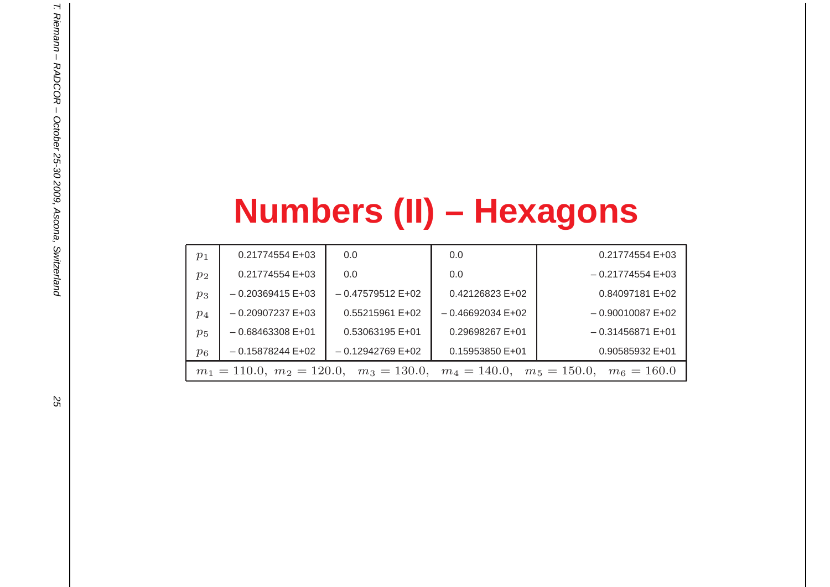# **Numbers (II) – Hexagons**

| $p_1$ | 0.21774554 E+03                                                                | 0.0                | 0.0               | 0.21774554 E+03   |  |  |
|-------|--------------------------------------------------------------------------------|--------------------|-------------------|-------------------|--|--|
| $p_2$ | $0.21774554E+03$                                                               | 0.0                | 0.0               | $-0.21774554E+03$ |  |  |
| $p_3$ | $-0.20369415E+03$                                                              | $-0.47579512E+02$  | $0.42126823E+02$  | 0.84097181 E+02   |  |  |
| $p_4$ | $-0.20907237 E + 03$                                                           | $0.55215961 E+02$  | $-0.46692034E+02$ | $-0.90010087E+02$ |  |  |
| $p_5$ | $-0.68463308 E + 01$                                                           | 0.53063195 E+01    | 0.29698267 E+01   | $-0.31456871E+01$ |  |  |
| $p_6$ | $-0.15878244E+02$                                                              | $-0.12942769 E+02$ | $0.15953850 E+01$ | 0.90585932 E+01   |  |  |
|       | $m_1 = 110.0, m_2 = 120.0, m_3 = 130.0, m_4 = 140.0, m_5 = 150.0, m_6 = 160.0$ |                    |                   |                   |  |  |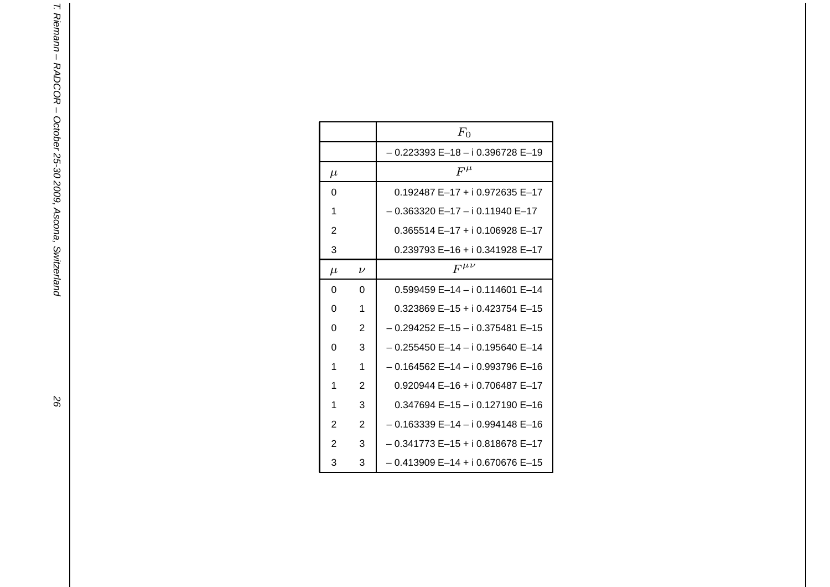|                |                | $F_0$                                      |
|----------------|----------------|--------------------------------------------|
|                |                | – 0.223393 E–18 – i 0.396728 E–19          |
| $\mu$          |                | $F^\mu$                                    |
| 0              |                | 0.192487 E-17 + i 0.972635 E-17            |
| 1              |                | $-0.363320$ E-17 - i 0.11940 E-17          |
| $\overline{2}$ |                | $0.365514 E-17 + i 0.106928 E-17$          |
| 3              |                | $0.239793 E-16 + i 0.341928 E-17$          |
| $\mu$          | $\nu$          | $F^{\mu\nu}$                               |
| 0              | 0              | $0.599459 E-14 - i 0.114601 E-14$          |
| 0              | 1              | $0.323869$ E-15 + i 0.423754 E-15          |
| 0              | $\overline{2}$ | $-0.294252$ E $-15 - i 0.375481$ E $-15$   |
| 0              | 3              | $-0.255450$ E $-14$ $-$ i 0.195640 E $-14$ |
| 1              | 1              | - 0.164562 E-14 - i 0.993796 E-16          |
| 1              | 2              | $0.920944 E-16 + i 0.706487 E-17$          |
| 1              | 3              | 0.347694 E-15 - i 0.127190 E-16            |
| $\overline{2}$ | $\overline{2}$ | $-0.163339E - 14 - i 0.994148E - 16$       |
| $\overline{2}$ | 3              | $-0.341773 E-15 + i 0.818678 E-17$         |
| 3              | 3              | $-0.413909 E-14 + i 0.670676 E-15$         |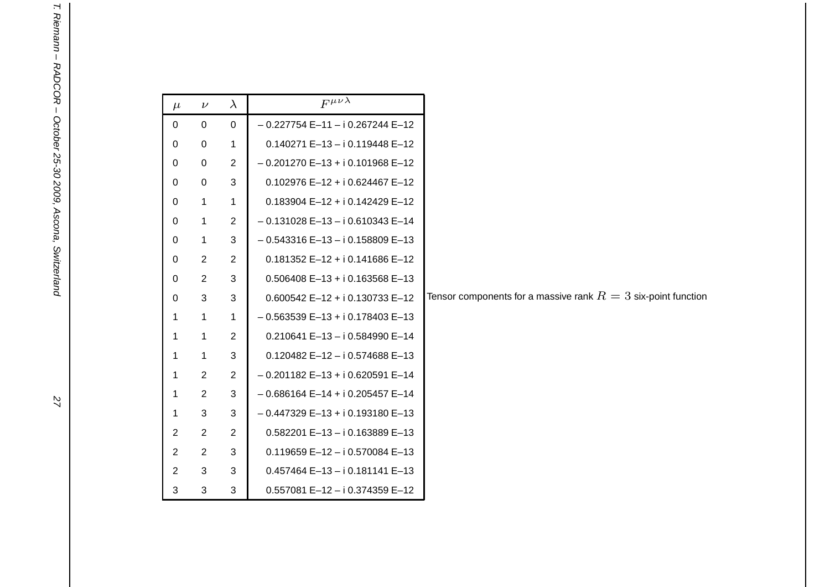| $\mu$          | $\nu$          | $\lambda$      | $F^{\mu\nu\lambda}$                |                                                               |
|----------------|----------------|----------------|------------------------------------|---------------------------------------------------------------|
| $\mathbf 0$    | $\mathbf 0$    | 0              | $-0.227754 E-11 - i 0.267244 E-12$ |                                                               |
| 0              | 0              | 1              | $0.140271 E-13 - i 0.119448 E-12$  |                                                               |
| 0              | $\mathsf 0$    | $\overline{2}$ | $-0.201270 E-13 + i 0.101968 E-12$ |                                                               |
| 0              | $\mathbf 0$    | 3              | $0.102976 E-12 + i 0.624467 E-12$  |                                                               |
| 0              | $\mathbf{1}$   | $\mathbf{1}$   | $0.183904 E-12 + i 0.142429 E-12$  |                                                               |
| 0              | $\mathbf{1}$   | $\overline{2}$ | $-0.131028E-13 - i0.610343E-14$    |                                                               |
| 0              | $\mathbf{1}$   | 3              | $-0.543316 E-13 - i 0.158809 E-13$ |                                                               |
| 0              | $\overline{2}$ | $\overline{2}$ | $0.181352$ E-12 + i 0.141686 E-12  |                                                               |
| 0              | $\overline{2}$ | 3              | $0.506408$ E-13 + i 0.163568 E-13  |                                                               |
| $\mathbf 0$    | 3              | 3              | $0.600542$ E-12 + i 0.130733 E-12  | Tensor components for a massive rank $R=3$ six-point function |
| 1              | $\mathbf 1$    | 1              | $-0.563539 E-13 + i 0.178403 E-13$ |                                                               |
| 1              | 1              | $\overline{2}$ | $0.210641 E-13 - i 0.584990 E-14$  |                                                               |
| 1              | 1              | 3              | $0.120482$ E-12 - i 0.574688 E-13  |                                                               |
| 1              | $\overline{2}$ | $\overline{2}$ | $-0.201182 E-13 + i 0.620591 E-14$ |                                                               |
| 1              | $\overline{2}$ | 3              | $-0.686164 E-14 + i 0.205457 E-14$ |                                                               |
| 1              | 3              | 3              | $-0.447329 E-13 + i 0.193180 E-13$ |                                                               |
| 2              | $\overline{2}$ | $\overline{2}$ | $0.582201 E-13 - i 0.163889 E-13$  |                                                               |
| 2              | $\overline{2}$ | 3              | $0.119659 E-12 - i 0.570084 E-13$  |                                                               |
| $\overline{c}$ | 3              | 3              | $0.457464 E-13 - i 0.181141 E-13$  |                                                               |
| 3              | 3              | 3              | $0.557081 E-12 - i 0.374359 E-12$  |                                                               |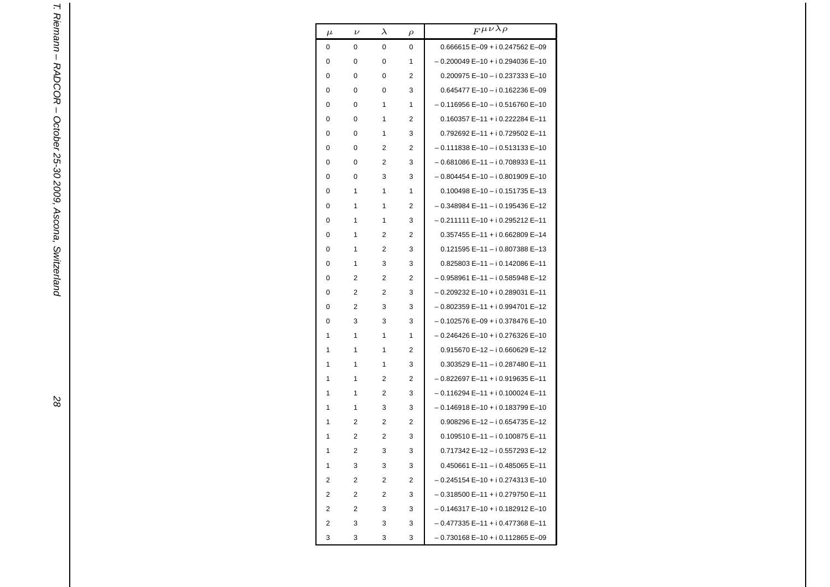| $\mu$ | $\nu$          | $\lambda$   | ρ | $F^{\mu\nu\lambda\rho}$                    |
|-------|----------------|-------------|---|--------------------------------------------|
| 0     | 0              | $\mathbf 0$ | 0 | $0.666615 E - 09 + i 0.247562 E - 09$      |
| 0     | 0              | 0           | 1 | $-0.200049 E-10 + i 0.294036 E-10$         |
| 0     | 0              | 0           | 2 | 0.200975 E-10 - i 0.237333 E-10            |
| 0     | 0              | $\Omega$    | 3 | $0.645477 E-10 - i 0.162236 E-09$          |
| 0     | 0              | 1           | 1 | - 0.116956 E-10 - i 0.516760 E-10          |
| 0     | 0              | 1           | 2 | $0.160357 E-11 + i 0.222284 E-11$          |
| 0     | 0              | 1           | 3 | 0.792692 E-11 + i 0.729502 E-11            |
| 0     | 0              | 2           | 2 | $-0.111838$ E $-10$ $-$ i 0.513133 E $-10$ |
| 0     | 0              | 2           | 3 | - 0.681086 E-11 - i 0.708933 E-11          |
| 0     | 0              | 3           | 3 | $-0.804454 E-10 - i 0.801909 E-10$         |
| 0     | 1              | 1           | 1 | $0.100498 E - 10 - i 0.151735 E - 13$      |
| 0     | 1              | 1           | 2 | – 0.348984 E–11 – i 0.195436 E–12          |
| 0     | 1              | 1           | 3 | $-0.211111E-10+i0.295212E-11$              |
| 0     | 1              | 2           | 2 | $0.357455 E-11 + i 0.662809 E-14$          |
| 0     | 1              | 2           | 3 | 0.121595 E-11 - i 0.807388 E-13            |
| 0     | 1              | 3           | 3 | 0.825803 E-11-i 0.142086 E-11              |
| 0     | 2              | 2           | 2 | - 0.958961 E-11 - i 0.585948 E-12          |
| 0     | 2              | 2           | 3 | $-0.209232E-10+i0.289031E-11$              |
| 0     | 2              | 3           | 3 | - 0.802359 E-11 + i 0.994701 E-12          |
| 0     | 3              | 3           | 3 | $-0.102576 E-09 + i 0.378476 E-10$         |
| 1     | 1              | 1           | 1 | – 0.246426 E–10 + i 0.276326 E–10          |
| 1     | 1              | 1           | 2 | $0.915670 E - 12 - i 0.660629 E - 12$      |
| 1     | 1              | 1           | 3 | 0.303529 E-11-i 0.287480 E-11              |
| 1     | 1              | 2           | 2 | - 0.822697 E-11 + i 0.919635 E-11          |
| 1     | 1              | 2           | 3 | - 0.116294 E-11 + i 0.100024 E-11          |
| 1     | 1              | 3           | 3 | $-0.146918 E-10 + i 0.183799 E-10$         |
| 1     | 2              | 2           | 2 | 0.908296 E-12 - i 0.654735 E-12            |
| 1     | 2              | 2           | 3 | $0.109510 E-11 - i 0.100875 E-11$          |
| 1     | $\overline{2}$ | 3           | 3 | 0.717342 E-12 - i 0.557293 E-12            |
| 1     | 3              | 3           | 3 | $0.450661 E-11 - i 0.485065 E-11$          |
| 2     | 2              | 2           | 2 | $-0.245154 E-10 + i 0.274313 E-10$         |
| 2     | 2              | 2           | 3 | - 0.318500 E-11 + i 0.279750 E-11          |
| 2     | 2              | 3           | 3 | - 0.146317 E-10 + i 0.182912 E-10          |
| 2     | 3              | 3           | 3 | - 0.477335 E-11 + i 0.477368 E-11          |
| 3     | 3              | 3           | 3 | - 0.730168 E-10 + i 0.112865 E-09          |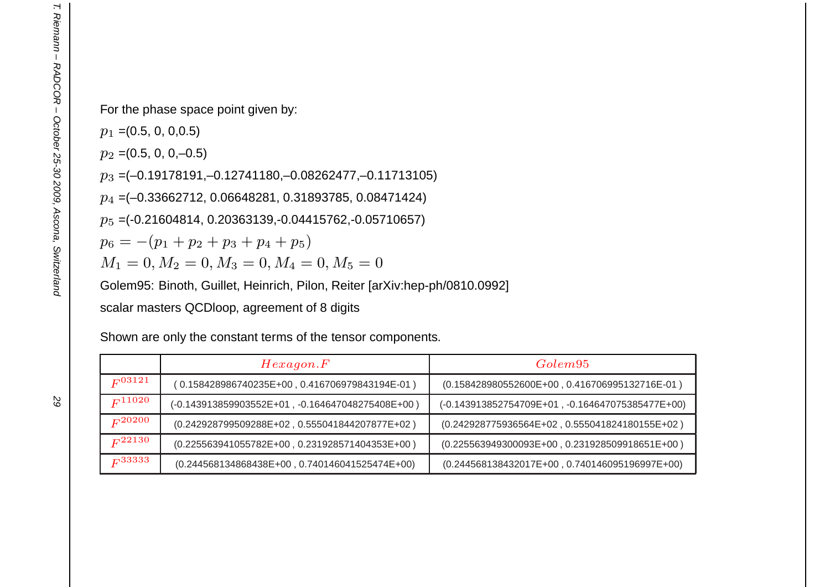For the phase space point given by:

 $p_1$  =(0.5, 0, 0,0.5)

 $p_2$  =(0.5, 0, 0,–0.5)

 $p_3$  =(–0.19178191,–0.12741180,–0.08262477,–0.11713105)

 $p_4$  =(–0.33662712, 0.06648281, 0.31893785, 0.08471424)

 $p_5$  =(-0.21604814, 0.20363139,-0.04415762,-0.05710657)

 $p_6=-(p_1+p_2+p_3+p_4+p_5)$ 

 $M_1 = 0, M_2 = 0, M_3 = 0, M_4 = 0, M_5 = 0$ 

Golem95: Binoth, Guillet, Heinrich, Pilon, Reiter [arXiv:hep-ph/0810.0992]

scalar masters QCDloop, agreement of 8 digits

Shown are only the constant terms of the tensor components.

|             | Hexagon.F                                        | Golem <sup>95</sup>                              |
|-------------|--------------------------------------------------|--------------------------------------------------|
| $F^{03121}$ | (0.158428986740235E+00,0.416706979843194E-01)    | (0.158428980552600E+00, 0.416706995132716E-01)   |
| $F^{11020}$ | (-0.143913859903552E+01, -0.164647048275408E+00) | (-0.143913852754709E+01, -0.164647075385477E+00) |
| $F^{20200}$ | (0.242928799509288E+02, 0.555041844207877E+02)   | (0.242928775936564E+02, 0.555041824180155E+02)   |
| $F^{22130}$ | (0.225563941055782E+00, 0.231928571404353E+00)   | $(0.225563949300093E+00, 0.231928509918651E+00)$ |
| $F^{33333}$ | $(0.244568134868438E+00, 0.740146041525474E+00)$ | $(0.244568138432017E+00, 0.740146095196997E+00)$ |